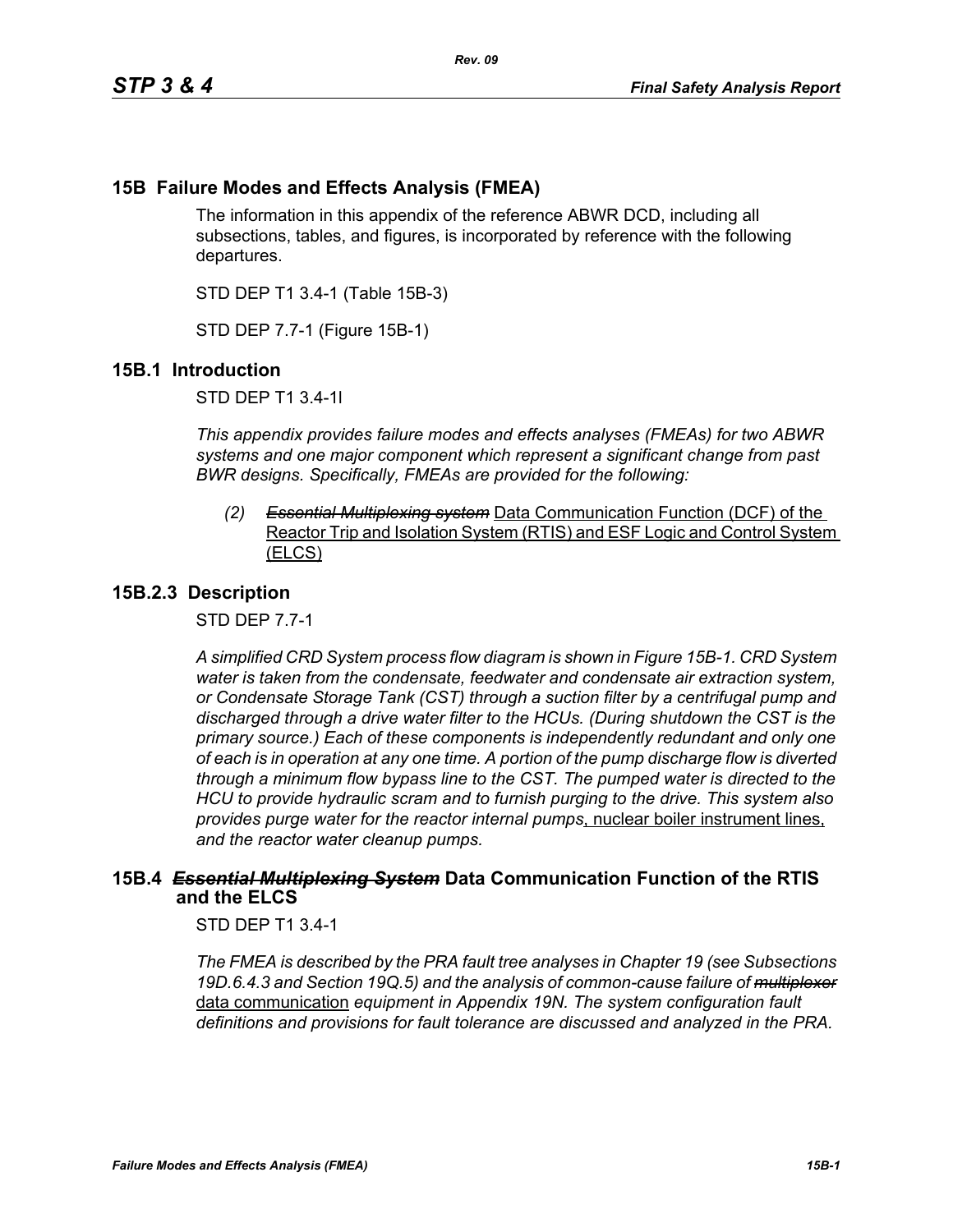# **15B Failure Modes and Effects Analysis (FMEA)**

The information in this appendix of the reference ABWR DCD, including all subsections, tables, and figures, is incorporated by reference with the following departures.

STD DEP T1 3.4-1 (Table 15B-3)

STD DEP 7.7-1 (Figure 15B-1)

## **15B.1 Introduction**

STD DEP T1 3.4-1l

*This appendix provides failure modes and effects analyses (FMEAs) for two ABWR systems and one major component which represent a significant change from past BWR designs. Specifically, FMEAs are provided for the following:*

*(2) Essential Multiplexing system* Data Communication Function (DCF) of the Reactor Trip and Isolation System (RTIS) and ESF Logic and Control System (ELCS)

## **15B.2.3 Description**

STD DEP 7.7-1

*A simplified CRD System process flow diagram is shown in Figure [15B-1.](#page-2-0) CRD System water is taken from the condensate, feedwater and condensate air extraction system, or Condensate Storage Tank (CST) through a suction filter by a centrifugal pump and discharged through a drive water filter to the HCUs. (During shutdown the CST is the primary source.) Each of these components is independently redundant and only one of each is in operation at any one time. A portion of the pump discharge flow is diverted through a minimum flow bypass line to the CST. The pumped water is directed to the HCU to provide hydraulic scram and to furnish purging to the drive. This system also provides purge water for the reactor internal pumps*, nuclear boiler instrument lines, *and the reactor water cleanup pumps.*

## **15B.4** *Essential Multiplexing System* **Data Communication Function of the RTIS and the ELCS**

STD DEP T1 3.4-1

*The FMEA is described by the PRA fault tree analyses in Chapter 19 (see Subsections 19D.6.4.3 and Section 19Q.5) and the analysis of common-cause failure of multiplexer* data communication *equipment in Appendix 19N. The system configuration fault definitions and provisions for fault tolerance are discussed and analyzed in the PRA.*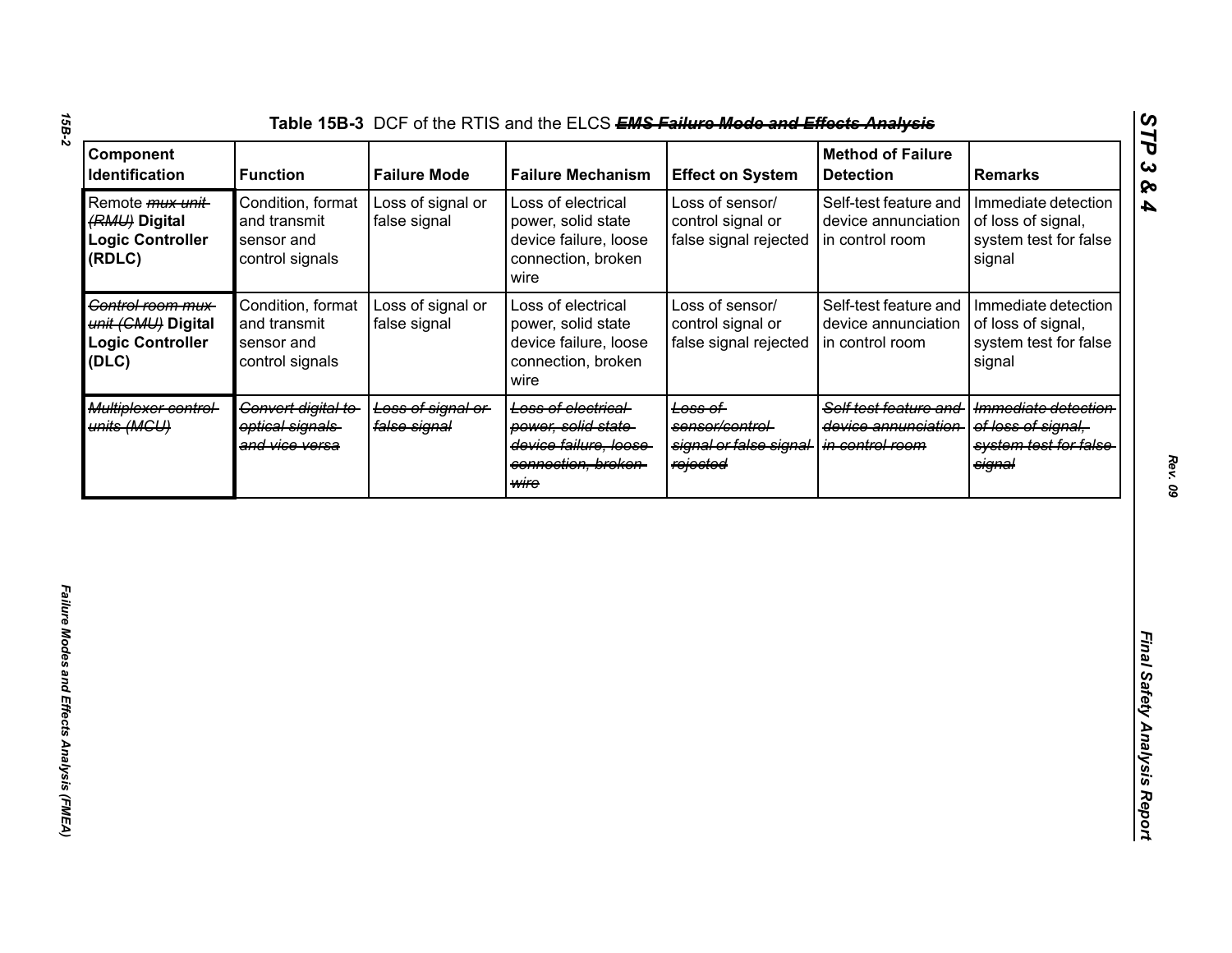| Component<br>Identification                                                    | <b>Function</b>                                                    | <b>Failure Mode</b>               | <b>Failure Mechanism</b>                                                                         | <b>Effect on System</b>                                           | <b>Method of Failure</b><br><b>Detection</b>                    | <b>Remarks</b>                                                                |
|--------------------------------------------------------------------------------|--------------------------------------------------------------------|-----------------------------------|--------------------------------------------------------------------------------------------------|-------------------------------------------------------------------|-----------------------------------------------------------------|-------------------------------------------------------------------------------|
| Remote <i>mux unit</i> -<br>(RMU) Digital<br><b>Logic Controller</b><br>(RDLC) | Condition, format<br>and transmit<br>sensor and<br>control signals | Loss of signal or<br>false signal | Loss of electrical<br>power, solid state<br>device failure, loose<br>connection, broken<br>wire  | Loss of sensor/<br>control signal or<br>false signal rejected     | Self-test feature and<br>device annunciation<br>in control room | Immediate detection<br>of loss of signal,<br>system test for false<br>signal  |
| Control room mux-<br>unit (CMU) Digital<br><b>Logic Controller</b><br>(DLC)    | Condition, format<br>and transmit<br>sensor and<br>control signals | Loss of signal or<br>false signal | Loss of electrical<br>power, solid state<br>device failure, loose<br>connection, broken<br>wire  | Loss of sensor/<br>control signal or<br>false signal rejected     | Self-test feature and<br>device annunciation<br>in control room | Immediate detection<br>of loss of signal,<br>system test for false<br>signal  |
| Multiplexer control-<br>units (MGU)                                            | Convert digital to<br>optical signals<br>and vice versa            | Loss of signal or<br>false signal | Loss of electrical<br>power, solid state<br>device failure, loose<br>connection, broken-<br>wire | Loss of<br>sensor/control-<br>signal or false signal-<br>rejected | Self test feature and<br>device annunciation<br>in control room | Immediate detection<br>of loss of signal.<br>system test for false-<br>signal |
|                                                                                |                                                                    |                                   |                                                                                                  |                                                                   |                                                                 |                                                                               |
|                                                                                |                                                                    |                                   |                                                                                                  |                                                                   |                                                                 |                                                                               |
|                                                                                |                                                                    |                                   |                                                                                                  |                                                                   |                                                                 |                                                                               |
|                                                                                |                                                                    |                                   |                                                                                                  |                                                                   |                                                                 |                                                                               |

*15B-2*